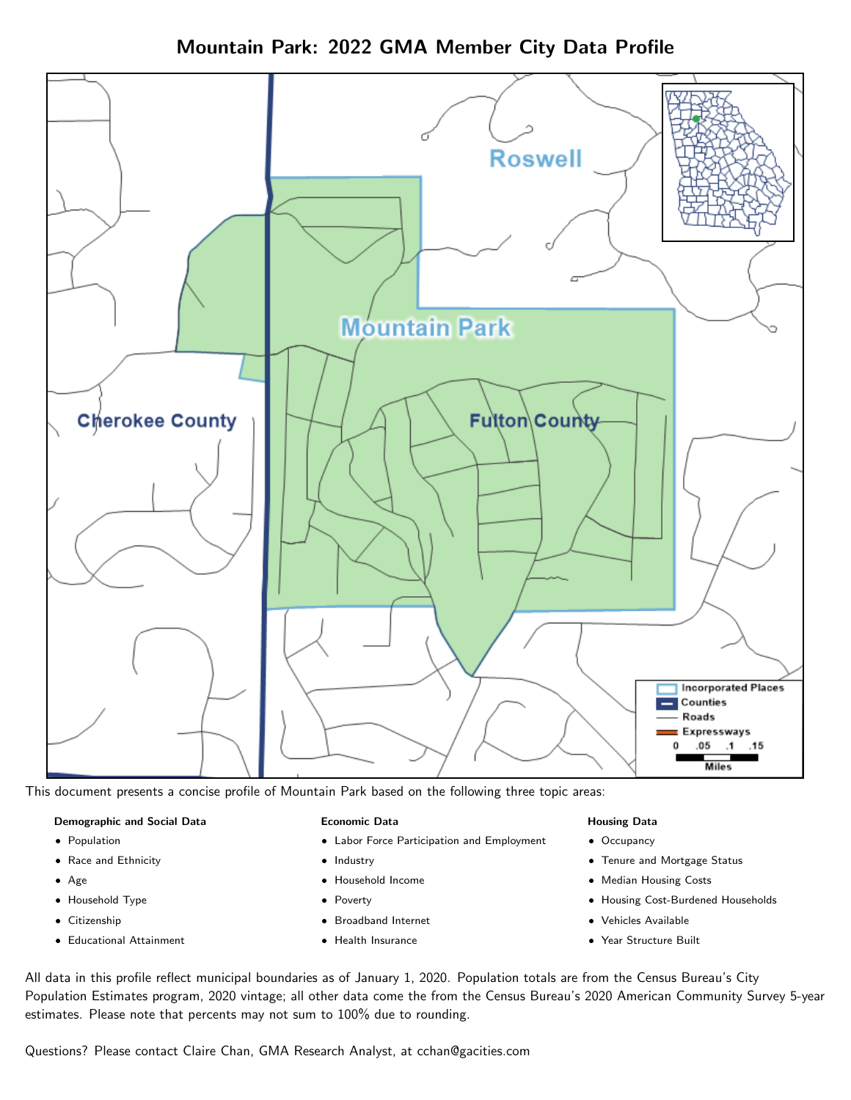Mountain Park: 2022 GMA Member City Data Profile



This document presents a concise profile of Mountain Park based on the following three topic areas:

#### Demographic and Social Data

- **•** Population
- Race and Ethnicity
- Age
- Household Type
- **Citizenship**
- Educational Attainment

#### Economic Data

- Labor Force Participation and Employment
- Industry
- Household Income
- Poverty
- Broadband Internet
- Health Insurance

#### Housing Data

- Occupancy
- Tenure and Mortgage Status
- Median Housing Costs
- Housing Cost-Burdened Households
- Vehicles Available
- Year Structure Built

All data in this profile reflect municipal boundaries as of January 1, 2020. Population totals are from the Census Bureau's City Population Estimates program, 2020 vintage; all other data come the from the Census Bureau's 2020 American Community Survey 5-year estimates. Please note that percents may not sum to 100% due to rounding.

Questions? Please contact Claire Chan, GMA Research Analyst, at [cchan@gacities.com.](mailto:cchan@gacities.com)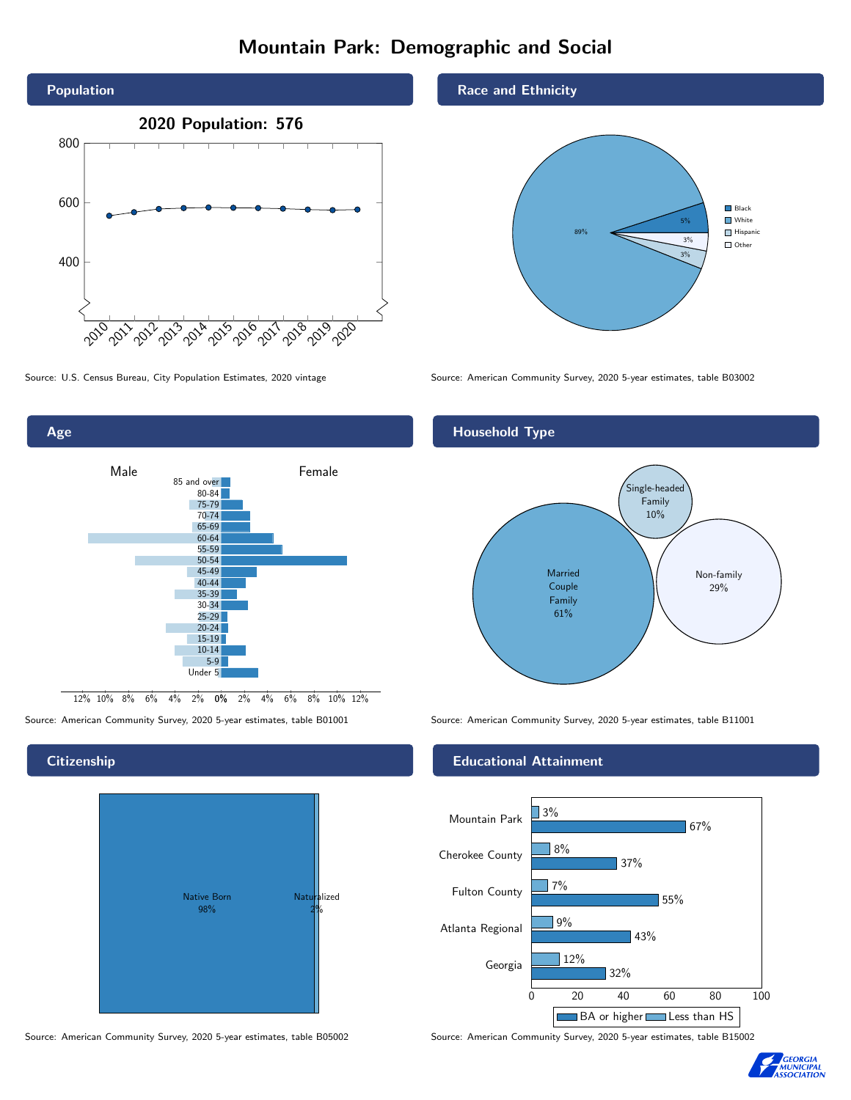## Mountain Park: Demographic and Social



0% 2% 4% 6% 8% 10% 12% 12% 10% 8% 6% 4% 2% Male **Female** 85 and over 80-84 75-79 70-74 65-69 60-64 55-59 50-54 45-49 40-44 35-39 30-34  $25-29$ 20-24  $15-19$ 10-14 5-9 Under 5

#### **Citizenship**

Age



Source: American Community Survey, 2020 5-year estimates, table B05002 Source: American Community Survey, 2020 5-year estimates, table B15002

#### Race and Ethnicity



Source: U.S. Census Bureau, City Population Estimates, 2020 vintage Source: American Community Survey, 2020 5-year estimates, table B03002

#### Household Type



Source: American Community Survey, 2020 5-year estimates, table B01001 Source: American Community Survey, 2020 5-year estimates, table B11001

#### Educational Attainment



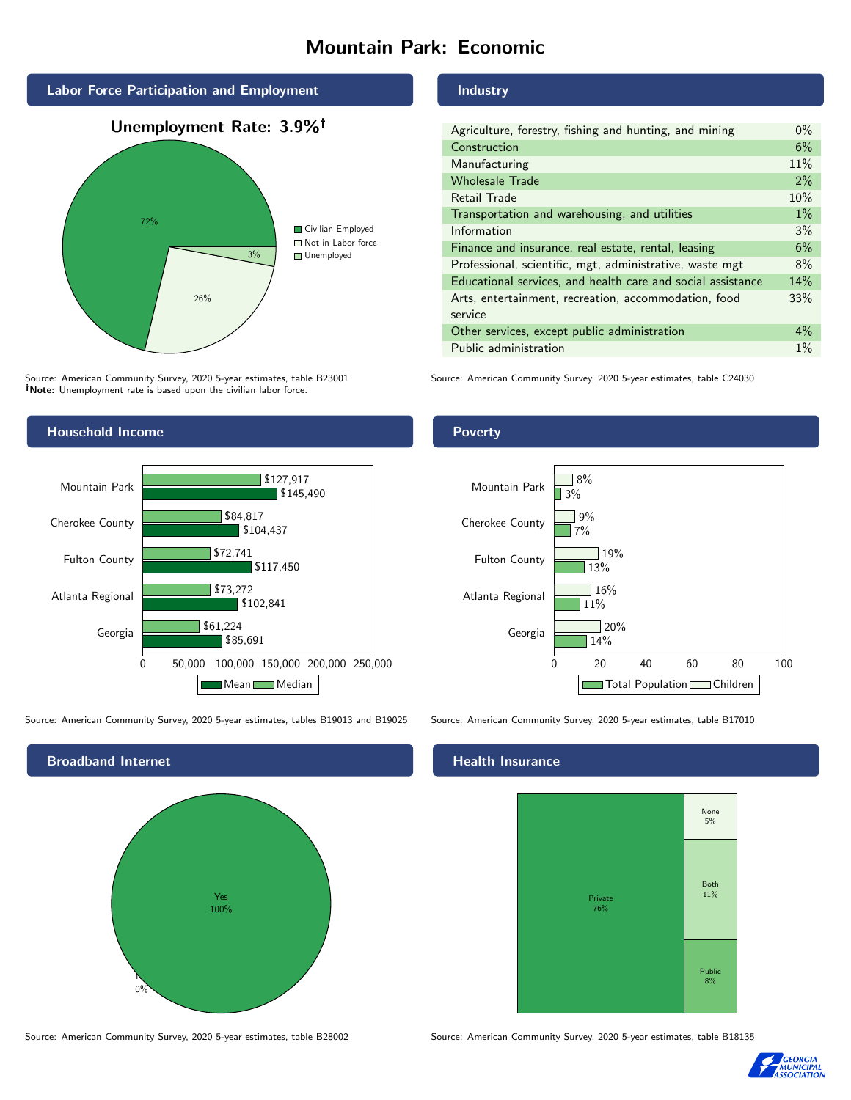## Mountain Park: Economic



Source: American Community Survey, 2020 5-year estimates, table B23001 Note: Unemployment rate is based upon the civilian labor force.





Source: American Community Survey, 2020 5-year estimates, tables B19013 and B19025 Source: American Community Survey, 2020 5-year estimates, table B17010



Source: American Community Survey, 2020 5-year estimates, table B28002 Source: American Community Survey, 2020 5-year estimates, table B18135

#### Industry

| Agriculture, forestry, fishing and hunting, and mining      | $0\%$ |
|-------------------------------------------------------------|-------|
| Construction                                                | 6%    |
| Manufacturing                                               | 11%   |
| <b>Wholesale Trade</b>                                      | $2\%$ |
| Retail Trade                                                | 10%   |
| Transportation and warehousing, and utilities               | $1\%$ |
| Information                                                 | 3%    |
| Finance and insurance, real estate, rental, leasing         | 6%    |
| Professional, scientific, mgt, administrative, waste mgt    | 8%    |
| Educational services, and health care and social assistance | 14%   |
| Arts, entertainment, recreation, accommodation, food        | 33%   |
| service                                                     |       |
| Other services, except public administration                | $4\%$ |
| Public administration                                       | $1\%$ |

Source: American Community Survey, 2020 5-year estimates, table C24030

#### Poverty



#### Health Insurance